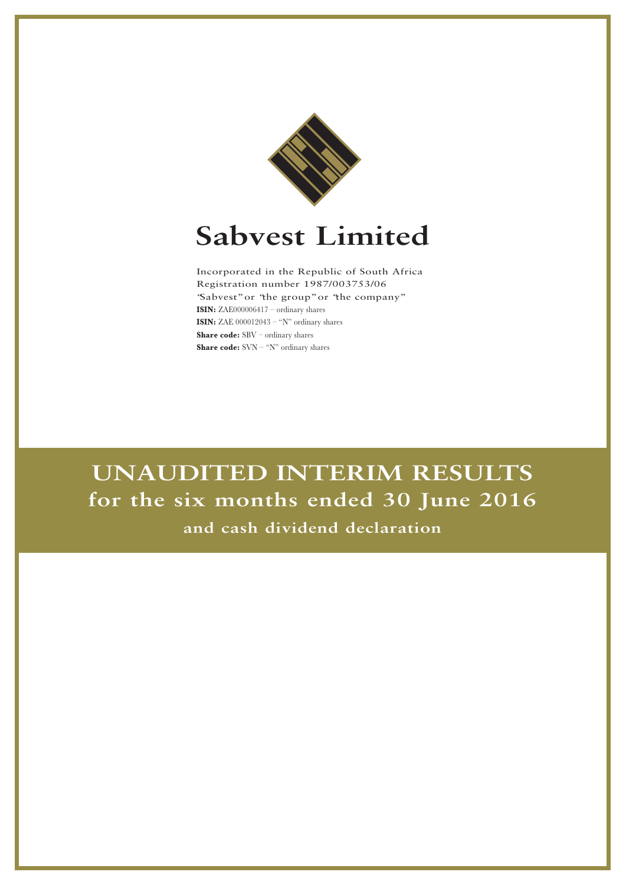

# **Sabvest Limited**

Incorporated in the Republic of South Africa Registration number 1987/003753/06 "Sabvest"or "the group"or "the company" **ISIN:** ZAE000006417 – ordinary shares **ISIN:** ZAE 000012043 – "N" ordinary shares **Share code:** SBV – ordinary shares **Share code:** SVN – "N" ordinary shares

**UNAUDITED INTERIM RESULTS for the six months ended 30 June 2016 and cash dividend declaration**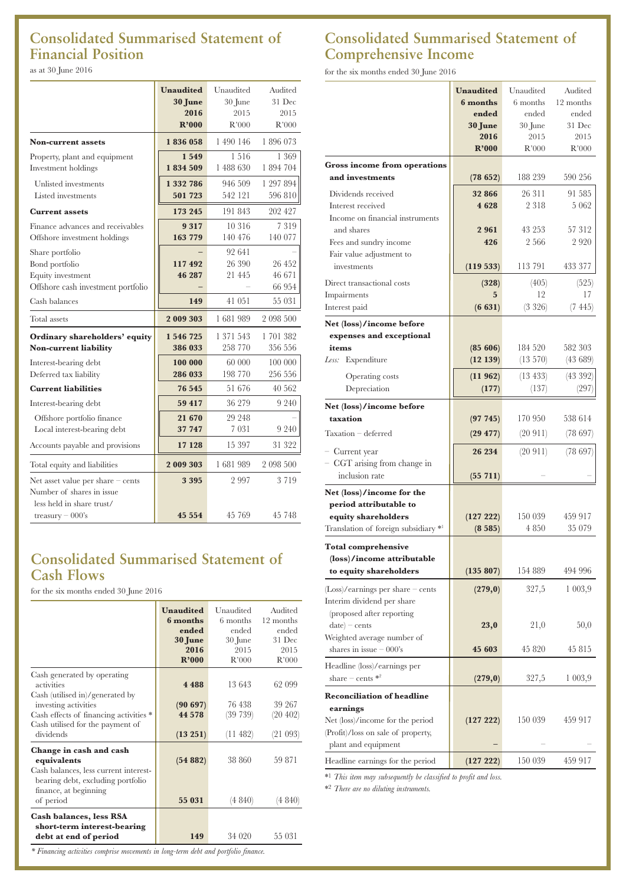# **Consolidated Summarised Statement of Financial Position**

as at 30 June 2016

|                                                                                               | <b>Unaudited</b><br>30 June<br>2016<br>R'000 | Unaudited<br>30 June<br>2015<br>R'000 | Audited<br>31 Dec<br>2015<br>R'000 |
|-----------------------------------------------------------------------------------------------|----------------------------------------------|---------------------------------------|------------------------------------|
| <b>Non-current assets</b>                                                                     | 1836058                                      | 1 490 146                             | 1896073                            |
| Property, plant and equipment<br>Investment holdings                                          | 1549<br>1834509                              | 1516<br>1 488 630                     | 1 369<br>1 894 704                 |
| Unlisted investments<br>Listed investments                                                    | 1 332 786<br>501723                          | 946 509<br>542 121                    | 1 297 894<br>596 810               |
| <b>Current assets</b>                                                                         | 173 245                                      | 191 843                               | 202 427                            |
| Finance advances and receivables<br>Offshore investment holdings                              | 9317<br>163 779                              | 10 316<br>140 476                     | 7 3 1 9<br>140 077                 |
| Share portfolio<br>Bond portfolio<br>Equity investment<br>Offshore cash investment portfolio  | 117492<br>46 287                             | 92 641<br>26 390<br>21 445            | 26 452<br>46 671<br>66 954         |
| Cash balances                                                                                 | 149                                          | 41 051                                | 55 031                             |
| Total assets                                                                                  | 2 009 303                                    | 1681989                               | 2 098 500                          |
| Ordinary shareholders' equity<br>Non-current liability                                        | 1 546 725<br>386 033                         | 1 371 543<br>258 770                  | 1 701 382<br>356 556               |
| Interest-bearing debt<br>Deferred tax liability                                               | 100 000<br>286 033                           | 60 000<br>198 770                     | 100 000<br>256 556                 |
| <b>Current liabilities</b>                                                                    | 76 545                                       | 51 676                                | 40 562                             |
| Interest-bearing debt                                                                         | 59 417                                       | 36 279                                | 9 2 4 0                            |
| Offshore portfolio finance<br>Local interest-bearing debt                                     | 21 670<br>37 747                             | 29 248<br>7 0 3 1                     | 9 2 4 0                            |
| Accounts payable and provisions                                                               | 17 128                                       | 15 397                                | 31 322                             |
| Total equity and liabilities                                                                  | 2 009 303                                    | 1681989                               | 2 098 500                          |
| Net asset value per share $-$ cents<br>Number of shares in issue<br>less held in share trust/ | 3 3 9 5                                      | 2997                                  | 3 7 1 9                            |
| treasury $-000$ 's                                                                            | 45 5 5 4                                     | 45 769                                | 45 748                             |

## **Consolidated Summarised Statement of Cash Flows**

for the six months ended 30 June 2016

|                                        | <b>Unaudited</b> | Unaudited | Audited   |
|----------------------------------------|------------------|-----------|-----------|
|                                        | 6 months         | 6 months  | 12 months |
|                                        | ended            | ended     | ended     |
|                                        |                  |           | 31 Dec    |
|                                        | 30 June          | 30 June   |           |
|                                        | 2016             | 2015      | 2015      |
|                                        | R'000            | R'000     | R'000     |
| Cash generated by operating            |                  |           |           |
| activities                             | 4 4 8 8          | 13643     | 62 099    |
|                                        |                  |           |           |
| Cash (utilised in)/generated by        |                  | 76 438    |           |
| investing activities                   | (90697)          |           | 39 267    |
| Cash effects of financing activities * | 44 5 78          | (39 739)  | (20 402)  |
| Cash utilised for the payment of       |                  |           |           |
| dividends                              | (13 251)         | (11482)   | (21 093)  |
| Change in cash and cash                |                  |           |           |
| equivalents                            | (54882)          | 38 860    | 59 871    |
|                                        |                  |           |           |
| Cash balances, less current interest-  |                  |           |           |
| bearing debt, excluding portfolio      |                  |           |           |
| finance, at beginning                  |                  |           |           |
| of period                              | 55 031           | (4 840)   | (4 840)   |
| <b>Cash balances, less RSA</b>         |                  |           |           |
|                                        |                  |           |           |
| short-term interest-bearing            |                  |           |           |
| debt at end of period                  | 149              | 34 0 20   | 55 031    |
|                                        |                  |           |           |

# **Consolidated Summarised Statement of Comprehensive Income**

for the six months ended 30 June 2016

|                                                           | <b>Unaudited</b> | Unaudited     | Audited   |
|-----------------------------------------------------------|------------------|---------------|-----------|
|                                                           | 6 months         | 6 months      | 12 months |
|                                                           | ended            | ended         | ended     |
|                                                           | <b>30 June</b>   | 30 June       | 31 Dec    |
|                                                           | 2016             | 2015          | 2015      |
|                                                           | R'000            | R'000         | R'000     |
| <b>Gross income from operations</b>                       |                  |               |           |
| and investments                                           | (78652)          | 188 239       | 590 256   |
| Dividends received                                        | 32 866           | 26 311        | 91 585    |
| Interest received                                         | 4628             | 2 3 1 8       | 5 062     |
| Income on financial instruments                           |                  |               |           |
| and shares                                                | 2961             | 43 253        | 57 312    |
| Fees and sundry income                                    | 426              | 2 5 6 6       | 2 920     |
| Fair value adjustment to                                  |                  |               |           |
| investments                                               | (119 533)        | 113 791       | 433 377   |
| Direct transactional costs                                | (328)            | (405)         | (525)     |
| Impairments                                               | 5                | 12            | 17        |
| Interest paid                                             | (6631)           | (3 326)       | (7445)    |
| Net (loss)/income before                                  |                  |               |           |
| expenses and exceptional                                  |                  |               |           |
| items                                                     | (85606)          | 184 520       | 582 303   |
| Less: Expenditure                                         | (12139)          | (13 570)      | (43689)   |
| Operating costs                                           | (11962)          | $(13 \; 433)$ | (43 392)  |
| Depreciation                                              | (177)            | (137)         | (297)     |
| Net (loss)/income before                                  |                  |               |           |
| taxation                                                  | (97745)          | 170 950       | 538 614   |
| Taxation - deferred                                       |                  | (20911)       | (78697)   |
|                                                           | (29 477)         |               |           |
| - Current year                                            | 26 234           | (20911)       | (78697)   |
| - CGT arising from change in                              |                  |               |           |
| inclusion rate                                            | $(55\;711)$      |               |           |
| Net (loss)/income for the                                 |                  |               |           |
| period attributable to                                    |                  |               |           |
| equity shareholders                                       | (127 222)        | 150 039       | 459 917   |
| Translation of foreign subsidiary * <sup>1</sup>          | (8585)           | 4 8 5 0       | 35 079    |
| <b>Total comprehensive</b>                                |                  |               |           |
| (loss)/income attributable                                |                  |               |           |
| to equity shareholders                                    | (135 807)        | 154 889       | 494 996   |
| $(Loss)/earnings$ per share – cents                       | (279, 0)         | 327,5         | 1003,9    |
| Interim dividend per share                                |                  |               |           |
| (proposed after reporting)                                |                  |               |           |
| $date$ – cents                                            | 23,0             | 21,0          | 50,0      |
| Weighted average number of                                |                  |               |           |
| shares in issue $-000$ 's                                 | 45 603           | 45 820        | 45 815    |
| Headline (loss)/earnings per                              |                  |               |           |
| share – cents $*^2$                                       | (279, 0)         | 327,5         | 1 003,9   |
|                                                           |                  |               |           |
| <b>Reconciliation of headline</b>                         |                  |               |           |
| earnings                                                  |                  | 150 039       | 459 917   |
| Net (loss)/income for the period                          | (127 222)        |               |           |
| (Profit)/loss on sale of property,<br>plant and equipment |                  |               |           |
|                                                           |                  |               |           |
| Headline earnings for the period                          | (127 222)        | 150 039       | 459 917   |

\*1 *This item may subsequently be classified to profit and loss.*

\*2 *There are no diluting instruments.*

*\* Financing activities comprise movements in long-term debt and portfolio finance.*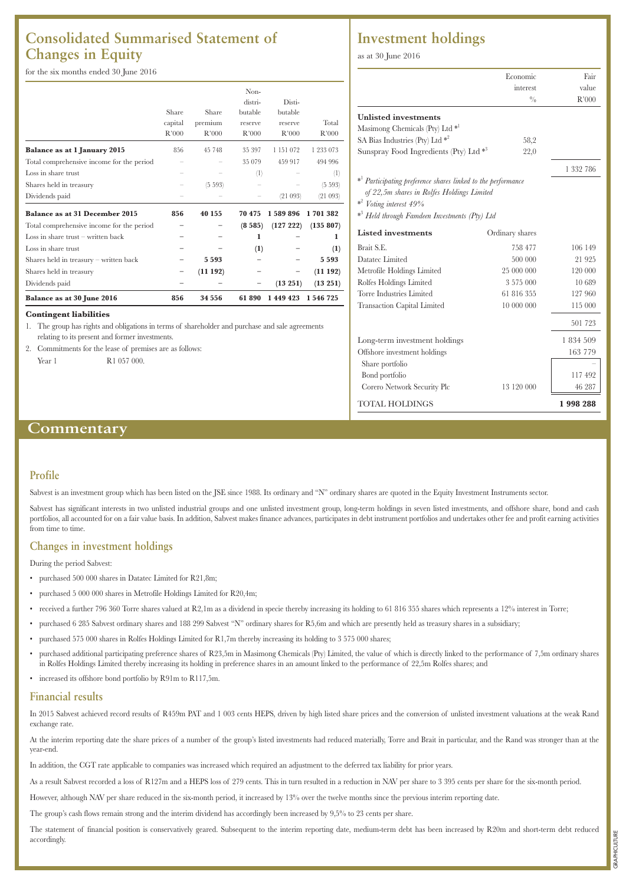## **Consolidated Summarised Statement of Changes in Equity**

for the six months ended 30 June 2016

|                                           | Share<br>capital<br>R'000 | Share<br>premium<br>R'000 | Non-<br>distri-<br>butable<br>reserve<br>R'000 | Disti-<br>butable<br>reserve<br>R'000 | Total<br>R'000 |
|-------------------------------------------|---------------------------|---------------------------|------------------------------------------------|---------------------------------------|----------------|
| Balance as at 1 January 2015              | 856                       | 45 748                    | 35 397                                         | 1 151 072                             | 1 233 073      |
| Total comprehensive income for the period |                           |                           | 35 079                                         | 459 917                               | 494 996        |
| Loss in share trust                       |                           |                           | (1)                                            |                                       | $^{(1)}$       |
| Shares held in treasury                   |                           | (5.593)                   |                                                |                                       | (5.593)        |
| Dividends paid                            |                           |                           |                                                | (21093)                               | (21093)        |
| <b>Balance as at 31 December 2015</b>     | 856                       | 40 155                    | 70 475                                         | 1 589 896                             | 1701382        |
| Total comprehensive income for the period |                           |                           | (8585)                                         | (127 222)                             | (135 807)      |
| Loss in share trust $-$ written back      |                           |                           | 1                                              |                                       | 1              |
| Loss in share trust                       |                           |                           | (1)                                            |                                       | (1)            |
| Shares held in treasury - written back    |                           | 5 5 9 3                   |                                                |                                       | 5593           |
| Shares held in treasury                   |                           | (11192)                   |                                                |                                       | (11192)        |
| Dividends paid                            |                           |                           |                                                | (13 251)                              | (13 251)       |
| Balance as at 30 June 2016                | 856                       | 34 556                    | 61890                                          | 1 449 423                             | 1 546 725      |

#### **Contingent liabilities**

1. The group has rights and obligations in terms of shareholder and purchase and sale agreements relating to its present and former investments.

2. Commitments for the lease of premises are as follows: Year 1 R1 057 000.

## **Investment holdings**

as at 30 June 2016

|                                                                                                                                                                                                                  | Economic        | Fair      |
|------------------------------------------------------------------------------------------------------------------------------------------------------------------------------------------------------------------|-----------------|-----------|
|                                                                                                                                                                                                                  | interest        | value     |
|                                                                                                                                                                                                                  | 0/2             | R'000     |
| <b>Unlisted investments</b>                                                                                                                                                                                      |                 |           |
| Masimong Chemicals (Pty) Ltd <sup>*1</sup>                                                                                                                                                                       |                 |           |
| SA Bias Industries (Pty) Ltd $*^2$                                                                                                                                                                               | 58,2            |           |
| Sunspray Food Ingredients (Pty) Ltd $*$ <sup>3</sup>                                                                                                                                                             | 22,0            |           |
|                                                                                                                                                                                                                  |                 | 1 332 786 |
| * <sup>1</sup> Participating preference shares linked to the performance<br>of 22,5m shares in Rolfes Holdings Limited<br>$*^2$ Voting interest 49%<br>* <sup>3</sup> Held through Famdeen Investments (Pty) Ltd |                 |           |
| <b>Listed investments</b>                                                                                                                                                                                        | Ordinary shares |           |
| Brait S.E.                                                                                                                                                                                                       | 758 477         | 106 149   |
| Datatec Limited                                                                                                                                                                                                  | 500 000         | 21925     |
| Metrofile Holdings Limited                                                                                                                                                                                       | 25 000 000      | 120 000   |
| Rolfes Holdings Limited                                                                                                                                                                                          | 3 575 000       | 10 689    |
| Torre Industries Limited                                                                                                                                                                                         | 61 816 355      | 127 960   |
| <b>Transaction Capital Limited</b>                                                                                                                                                                               | 10 000 000      | 115 000   |
|                                                                                                                                                                                                                  |                 | 501 723   |
| Long-term investment holdings                                                                                                                                                                                    |                 | 1 834 509 |
| Offshore investment holdings                                                                                                                                                                                     |                 | 163 779   |
| Share portfolio                                                                                                                                                                                                  |                 |           |
| Bond portfolio                                                                                                                                                                                                   |                 | 117492    |
| Corero Network Security Plc                                                                                                                                                                                      | 13 120 000      | 46 287    |
| TOTAL HOLDINGS                                                                                                                                                                                                   |                 | 1998288   |

### **Commentary**

#### **Profile**

Sabvest is an investment group which has been listed on the JSE since 1988. Its ordinary and "N" ordinary shares are quoted in the Equity Investment Instruments sector.

Sabvest has significant interests in two unlisted industrial groups and one unlisted investment group, long-term holdings in seven listed investments, and offshore share, bond and cash portfolios, all accounted for on a fair value basis. In addition, Sabvest makes finance advances, participates in debt instrument portfolios and undertakes other fee and profit earning activities from time to time.

#### **Changes in investment holdings**

During the period Sabvest:

- purchased 500 000 shares in Datatec Limited for R21,8m;
- purchased 5 000 000 shares in Metrofile Holdings Limited for R20,4m;
- received a further 796 360 Torre shares valued at R2,1m as a dividend in specie thereby increasing its holding to 61 816 355 shares which represents a 12% interest in Torre;
- purchased 6 285 Sabvest ordinary shares and 188 299 Sabvest "N" ordinary shares for R5,6m and which are presently held as treasury shares in a subsidiary;
- purchased 575 000 shares in Rolfes Holdings Limited for R1,7m thereby increasing its holding to 3 575 000 shares;
- purchased additional participating preference shares of R23,5m in Masimong Chemicals (Pty) Limited, the value of which is directly linked to the performance of 7,5m ordinary shares in Rolfes Holdings Limited thereby increasing its holding in preference shares in an amount linked to the performance of 22,5m Rolfes shares; and
- increased its offshore bond portfolio by R91m to R117,5m.

#### **Financial results**

In 2015 Sabvest achieved record results of R459m PAT and 1 003 cents HEPS, driven by high listed share prices and the conversion of unlisted investment valuations at the weak Rand exchange rate.

At the interim reporting date the share prices of a number of the group's listed investments had reduced materially, Torre and Brait in particular, and the Rand was stronger than at the year-end.

In addition, the CGT rate applicable to companies was increased which required an adjustment to the deferred tax liability for prior years.

As a result Sabvest recorded a loss of R127m and a HEPS loss of 279 cents. This in turn resulted in a reduction in NAV per share to 3 395 cents per share for the six-month period.

However, although NAV per share reduced in the six-month period, it increased by 13% over the twelve months since the previous interim reporting date.

The group's cash flows remain strong and the interim dividend has accordingly been increased by 9,5% to 23 cents per share.

The statement of financial position is conservatively geared. Subsequent to the interim reporting date, medium-term debt has been increased by R20m and short-term debt reduced accordingly.